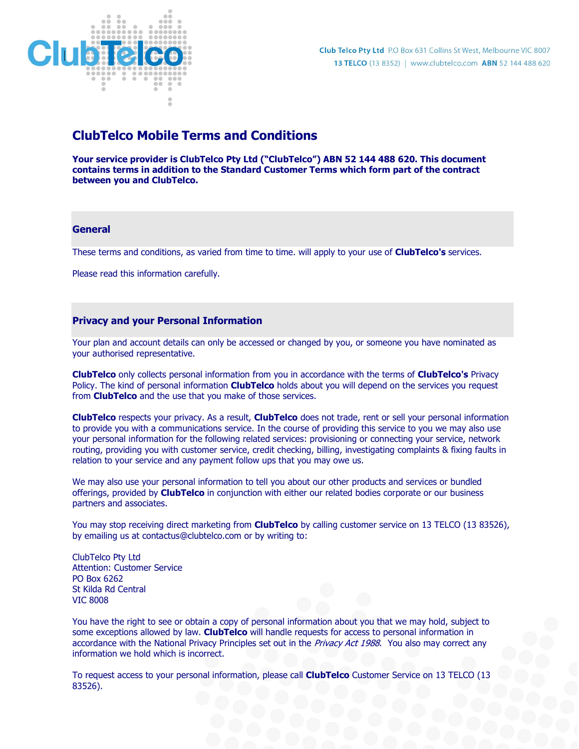

# ClubTelco Mobile Terms and Conditions

Your service provider is ClubTelco Pty Ltd ("ClubTelco") ABN 52 144 488 620. This document contains terms in addition to the Standard Customer Terms which form part of the contract between you and ClubTelco.

### **General**

These terms and conditions, as varied from time to time. will apply to your use of **ClubTelco's** services.

Please read this information carefully.

### Privacy and your Personal Information

Your plan and account details can only be accessed or changed by you, or someone you have nominated as your authorised representative.

ClubTelco only collects personal information from you in accordance with the terms of ClubTelco's Privacy Policy. The kind of personal information **ClubTelco** holds about you will depend on the services you request from **ClubTelco** and the use that you make of those services.

ClubTelco respects your privacy. As a result, ClubTelco does not trade, rent or sell your personal information to provide you with a communications service. In the course of providing this service to you we may also use your personal information for the following related services: provisioning or connecting your service, network routing, providing you with customer service, credit checking, billing, investigating complaints & fixing faults in relation to your service and any payment follow ups that you may owe us.

We may also use your personal information to tell you about our other products and services or bundled offerings, provided by **ClubTelco** in conjunction with either our related bodies corporate or our business partners and associates.

You may stop receiving direct marketing from ClubTelco by calling customer service on 13 TELCO (13 83526), by emailing us at contactus@clubtelco.com or by writing to:

ClubTelco Pty Ltd Attention: Customer Service PO Box 6262 St Kilda Rd Central VIC 8008

You have the right to see or obtain a copy of personal information about you that we may hold, subject to some exceptions allowed by law. ClubTelco will handle requests for access to personal information in accordance with the National Privacy Principles set out in the Privacy Act 1988. You also may correct any information we hold which is incorrect.

To request access to your personal information, please call **ClubTelco** Customer Service on 13 TELCO (13 83526).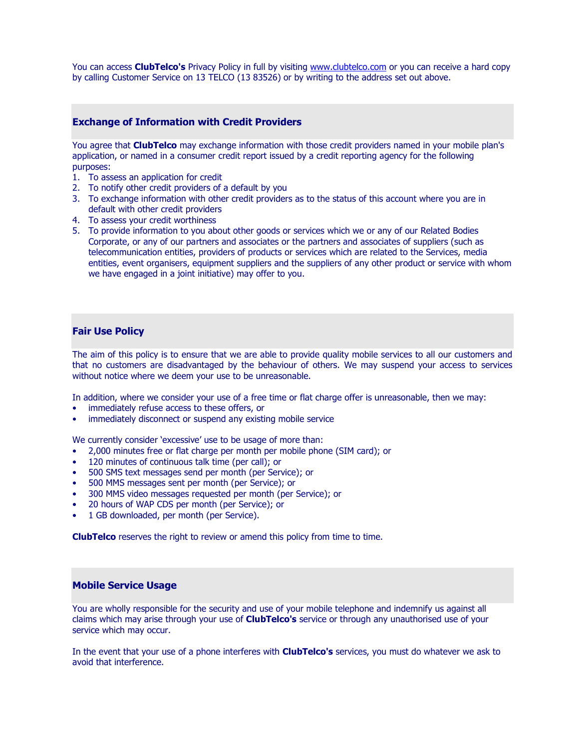You can access ClubTelco's Privacy Policy in full by visiting www.clubtelco.com or you can receive a hard copy by calling Customer Service on 13 TELCO (13 83526) or by writing to the address set out above.

### Exchange of Information with Credit Providers

You agree that **ClubTelco** may exchange information with those credit providers named in your mobile plan's application, or named in a consumer credit report issued by a credit reporting agency for the following purposes:

- 1. To assess an application for credit
- 2. To notify other credit providers of a default by you
- 3. To exchange information with other credit providers as to the status of this account where you are in default with other credit providers
- 4. To assess your credit worthiness
- 5. To provide information to you about other goods or services which we or any of our Related Bodies Corporate, or any of our partners and associates or the partners and associates of suppliers (such as telecommunication entities, providers of products or services which are related to the Services, media entities, event organisers, equipment suppliers and the suppliers of any other product or service with whom we have engaged in a joint initiative) may offer to you.

### Fair Use Policy

The aim of this policy is to ensure that we are able to provide quality mobile services to all our customers and that no customers are disadvantaged by the behaviour of others. We may suspend your access to services without notice where we deem your use to be unreasonable.

In addition, where we consider your use of a free time or flat charge offer is unreasonable, then we may:

- immediately refuse access to these offers, or
- immediately disconnect or suspend any existing mobile service

We currently consider 'excessive' use to be usage of more than:

- 2,000 minutes free or flat charge per month per mobile phone (SIM card); or
- 120 minutes of continuous talk time (per call); or
- 500 SMS text messages send per month (per Service); or
- 500 MMS messages sent per month (per Service); or
- 300 MMS video messages requested per month (per Service); or
- 20 hours of WAP CDS per month (per Service); or
- 1 GB downloaded, per month (per Service).

**ClubTelco** reserves the right to review or amend this policy from time to time.

### Mobile Service Usage

You are wholly responsible for the security and use of your mobile telephone and indemnify us against all claims which may arise through your use of **ClubTelco's** service or through any unauthorised use of your service which may occur.

In the event that your use of a phone interferes with **ClubTelco's** services, you must do whatever we ask to avoid that interference.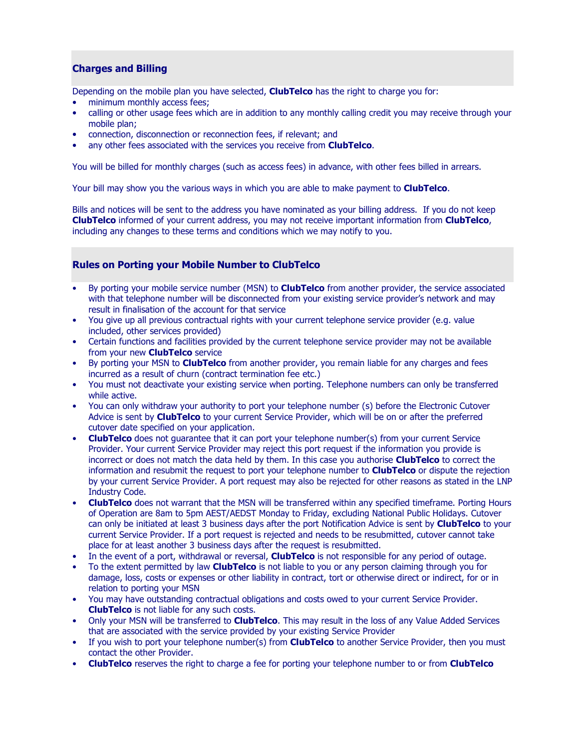## Charges and Billing

Depending on the mobile plan you have selected, **ClubTelco** has the right to charge you for:

- minimum monthly access fees;
- calling or other usage fees which are in addition to any monthly calling credit you may receive through your mobile plan;
- connection, disconnection or reconnection fees, if relevant; and
- any other fees associated with the services you receive from **ClubTelco**.

You will be billed for monthly charges (such as access fees) in advance, with other fees billed in arrears.

Your bill may show you the various ways in which you are able to make payment to **ClubTelco**.

Bills and notices will be sent to the address you have nominated as your billing address. If you do not keep ClubTelco informed of your current address, you may not receive important information from ClubTelco, including any changes to these terms and conditions which we may notify to you.

### Rules on Porting your Mobile Number to ClubTelco

- By porting your mobile service number (MSN) to **ClubTelco** from another provider, the service associated with that telephone number will be disconnected from your existing service provider's network and may result in finalisation of the account for that service
- You give up all previous contractual rights with your current telephone service provider (e.g. value included, other services provided)
- Certain functions and facilities provided by the current telephone service provider may not be available from your new **ClubTelco** service
- By porting your MSN to **ClubTelco** from another provider, you remain liable for any charges and fees incurred as a result of churn (contract termination fee etc.)
- You must not deactivate your existing service when porting. Telephone numbers can only be transferred while active.
- You can only withdraw your authority to port your telephone number (s) before the Electronic Cutover Advice is sent by **ClubTelco** to your current Service Provider, which will be on or after the preferred cutover date specified on your application.
- **ClubTelco** does not quarantee that it can port your telephone number(s) from your current Service Provider. Your current Service Provider may reject this port request if the information you provide is incorrect or does not match the data held by them. In this case you authorise **ClubTelco** to correct the information and resubmit the request to port your telephone number to **ClubTelco** or dispute the rejection by your current Service Provider. A port request may also be rejected for other reasons as stated in the LNP Industry Code.
- **ClubTelco** does not warrant that the MSN will be transferred within any specified timeframe. Porting Hours of Operation are 8am to 5pm AEST/AEDST Monday to Friday, excluding National Public Holidays. Cutover can only be initiated at least 3 business days after the port Notification Advice is sent by ClubTelco to your current Service Provider. If a port request is rejected and needs to be resubmitted, cutover cannot take place for at least another 3 business days after the request is resubmitted.
- In the event of a port, withdrawal or reversal, **ClubTelco** is not responsible for any period of outage.
- To the extent permitted by law **ClubTelco** is not liable to you or any person claiming through you for damage, loss, costs or expenses or other liability in contract, tort or otherwise direct or indirect, for or in relation to porting your MSN
- You may have outstanding contractual obligations and costs owed to your current Service Provider. ClubTelco is not liable for any such costs.
- Only your MSN will be transferred to **ClubTelco**. This may result in the loss of any Value Added Services that are associated with the service provided by your existing Service Provider
- If you wish to port your telephone number(s) from **ClubTelco** to another Service Provider, then you must contact the other Provider.
- **ClubTelco** reserves the right to charge a fee for porting your telephone number to or from **ClubTelco**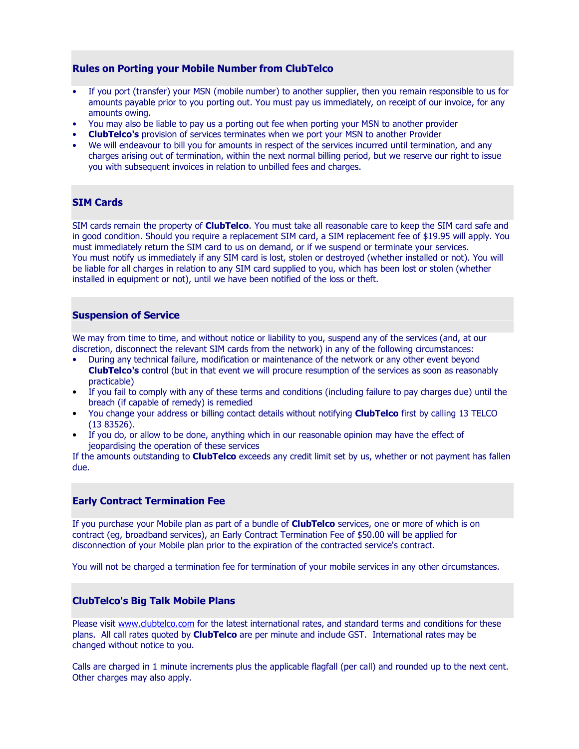### Rules on Porting your Mobile Number from ClubTelco

- If you port (transfer) your MSN (mobile number) to another supplier, then you remain responsible to us for amounts payable prior to you porting out. You must pay us immediately, on receipt of our invoice, for any amounts owing.
- You may also be liable to pay us a porting out fee when porting your MSN to another provider
- ClubTelco's provision of services terminates when we port your MSN to another Provider
- We will endeavour to bill you for amounts in respect of the services incurred until termination, and any charges arising out of termination, within the next normal billing period, but we reserve our right to issue you with subsequent invoices in relation to unbilled fees and charges.

## SIM Cards

SIM cards remain the property of **ClubTelco**. You must take all reasonable care to keep the SIM card safe and in good condition. Should you require a replacement SIM card, a SIM replacement fee of \$19.95 will apply. You must immediately return the SIM card to us on demand, or if we suspend or terminate your services. You must notify us immediately if any SIM card is lost, stolen or destroyed (whether installed or not). You will be liable for all charges in relation to any SIM card supplied to you, which has been lost or stolen (whether installed in equipment or not), until we have been notified of the loss or theft.

### Suspension of Service

We may from time to time, and without notice or liability to you, suspend any of the services (and, at our discretion, disconnect the relevant SIM cards from the network) in any of the following circumstances:

- During any technical failure, modification or maintenance of the network or any other event beyond ClubTelco's control (but in that event we will procure resumption of the services as soon as reasonably practicable)
- If you fail to comply with any of these terms and conditions (including failure to pay charges due) until the breach (if capable of remedy) is remedied
- You change your address or billing contact details without notifying **ClubTelco** first by calling 13 TELCO (13 83526).
- If you do, or allow to be done, anything which in our reasonable opinion may have the effect of jeopardising the operation of these services

If the amounts outstanding to **ClubTelco** exceeds any credit limit set by us, whether or not payment has fallen due.

### Early Contract Termination Fee

If you purchase your Mobile plan as part of a bundle of **ClubTelco** services, one or more of which is on contract (eg, broadband services), an Early Contract Termination Fee of \$50.00 will be applied for disconnection of your Mobile plan prior to the expiration of the contracted service's contract.

You will not be charged a termination fee for termination of your mobile services in any other circumstances.

### ClubTelco's Big Talk Mobile Plans

Please visit www.clubtelco.com for the latest international rates, and standard terms and conditions for these plans. All call rates quoted by **ClubTelco** are per minute and include GST. International rates may be changed without notice to you.

Calls are charged in 1 minute increments plus the applicable flagfall (per call) and rounded up to the next cent. Other charges may also apply.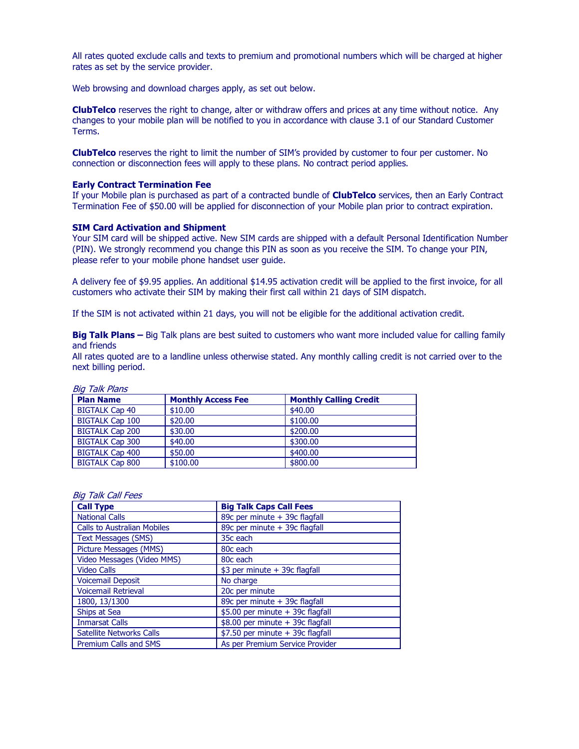All rates quoted exclude calls and texts to premium and promotional numbers which will be charged at higher rates as set by the service provider.

Web browsing and download charges apply, as set out below.

ClubTelco reserves the right to change, alter or withdraw offers and prices at any time without notice. Any changes to your mobile plan will be notified to you in accordance with clause 3.1 of our Standard Customer Terms.

ClubTelco reserves the right to limit the number of SIM's provided by customer to four per customer. No connection or disconnection fees will apply to these plans. No contract period applies.

#### Early Contract Termination Fee

If your Mobile plan is purchased as part of a contracted bundle of ClubTelco services, then an Early Contract Termination Fee of \$50.00 will be applied for disconnection of your Mobile plan prior to contract expiration.

#### SIM Card Activation and Shipment

Your SIM card will be shipped active. New SIM cards are shipped with a default Personal Identification Number (PIN). We strongly recommend you change this PIN as soon as you receive the SIM. To change your PIN, please refer to your mobile phone handset user guide.

A delivery fee of \$9.95 applies. An additional \$14.95 activation credit will be applied to the first invoice, for all customers who activate their SIM by making their first call within 21 days of SIM dispatch.

If the SIM is not activated within 21 days, you will not be eligible for the additional activation credit.

Big Talk Plans – Big Talk plans are best suited to customers who want more included value for calling family and friends

All rates quoted are to a landline unless otherwise stated. Any monthly calling credit is not carried over to the next billing period.

| טושו ו חשור שוט        |                           |                               |
|------------------------|---------------------------|-------------------------------|
| <b>Plan Name</b>       | <b>Monthly Access Fee</b> | <b>Monthly Calling Credit</b> |
| <b>BIGTALK Cap 40</b>  | \$10.00                   | \$40.00                       |
| <b>BIGTALK Cap 100</b> | \$20.00                   | \$100.00                      |
| <b>BIGTALK Cap 200</b> | \$30.00                   | \$200,00                      |
| <b>BIGTALK Cap 300</b> | \$40.00                   | \$300.00                      |
| <b>BIGTALK Cap 400</b> | \$50.00                   | \$400.00                      |
| <b>BIGTALK Cap 800</b> | \$100.00                  | \$800,00                      |

### Big Talk Plans

#### Big Talk Call Fees

| <b>Call Type</b>                   | <b>Big Talk Caps Call Fees</b>   |
|------------------------------------|----------------------------------|
| <b>National Calls</b>              | 89c per minute + 39c flagfall    |
| <b>Calls to Australian Mobiles</b> | 89c per minute + 39c flagfall    |
| <b>Text Messages (SMS)</b>         | 35c each                         |
| Picture Messages (MMS)             | 80 <sub>c</sub> each             |
| Video Messages (Video MMS)         | 80c each                         |
| <b>Video Calls</b>                 | \$3 per minute + 39c flagfall    |
| <b>Voicemail Deposit</b>           | No charge                        |
| <b>Voicemail Retrieval</b>         | 20c per minute                   |
| 1800, 13/1300                      | 89c per minute + 39c flagfall    |
| Ships at Sea                       | \$5.00 per minute + 39c flagfall |
| <b>Inmarsat Calls</b>              | \$8.00 per minute + 39c flagfall |
| <b>Satellite Networks Calls</b>    | \$7.50 per minute + 39c flagfall |
| <b>Premium Calls and SMS</b>       | As per Premium Service Provider  |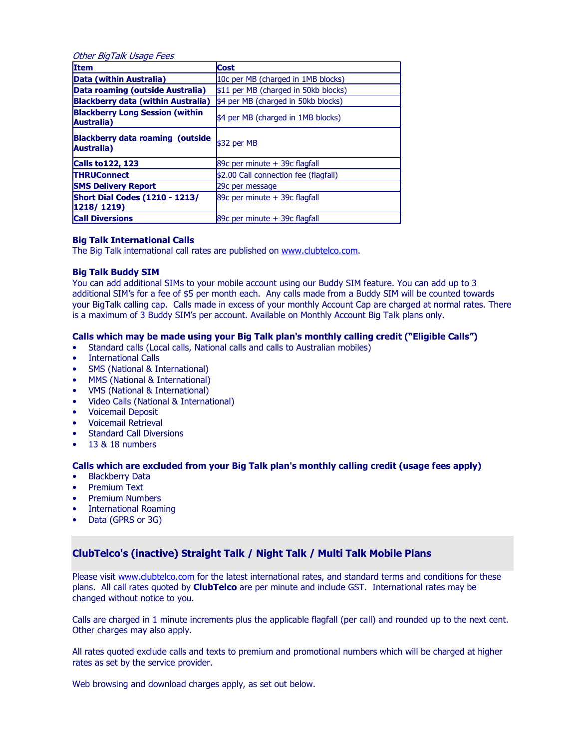| Other BigTalk Usage Fees                              |                                       |  |
|-------------------------------------------------------|---------------------------------------|--|
| <b>Item</b>                                           | <b>Cost</b>                           |  |
| Data (within Australia)                               | 10c per MB (charged in 1MB blocks)    |  |
| Data roaming (outside Australia)                      | \$11 per MB (charged in 50kb blocks)  |  |
| <b>Blackberry data (within Australia)</b>             | \$4 per MB (charged in 50kb blocks)   |  |
| <b>Blackberry Long Session (within</b><br>Australia)  | \$4 per MB (charged in 1MB blocks)    |  |
| <b>Blackberry data roaming (outside</b><br>Australia) | \$32 per MB                           |  |
| <b>Calls to 122, 123</b>                              | 89 $c$ per minute $+$ 39 $c$ flagfall |  |
| <b>THRUConnect</b>                                    | \$2.00 Call connection fee (flagfall) |  |
| <b>SMS Delivery Report</b>                            | 29c per message                       |  |
| <b>Short Dial Codes (1210 - 1213/</b><br>1218/1219)   | 89c per minute + 39c flagfall         |  |
| <b>Call Diversions</b>                                | 89 $c$ per minute $+$ 39 $c$ flagfall |  |

### Big Talk International Calls

The Big Talk international call rates are published on www.clubtelco.com.

#### Big Talk Buddy SIM

You can add additional SIMs to your mobile account using our Buddy SIM feature. You can add up to 3 additional SIM's for a fee of \$5 per month each. Any calls made from a Buddy SIM will be counted towards your BigTalk calling cap. Calls made in excess of your monthly Account Cap are charged at normal rates. There is a maximum of 3 Buddy SIM's per account. Available on Monthly Account Big Talk plans only.

### Calls which may be made using your Big Talk plan's monthly calling credit ("Eligible Calls")

- Standard calls (Local calls, National calls and calls to Australian mobiles)
- International Calls
- SMS (National & International)
- MMS (National & International)
- VMS (National & International)
- Video Calls (National & International)
- Voicemail Deposit
- Voicemail Retrieval
- Standard Call Diversions
- 13 & 18 numbers

### Calls which are excluded from your Big Talk plan's monthly calling credit (usage fees apply)

- Blackberry Data
- Premium Text
- Premium Numbers
- International Roaming
- Data (GPRS or 3G)

### ClubTelco's (inactive) Straight Talk / Night Talk / Multi Talk Mobile Plans

Please visit www.clubtelco.com for the latest international rates, and standard terms and conditions for these plans. All call rates quoted by ClubTelco are per minute and include GST. International rates may be changed without notice to you.

Calls are charged in 1 minute increments plus the applicable flagfall (per call) and rounded up to the next cent. Other charges may also apply.

All rates quoted exclude calls and texts to premium and promotional numbers which will be charged at higher rates as set by the service provider.

Web browsing and download charges apply, as set out below.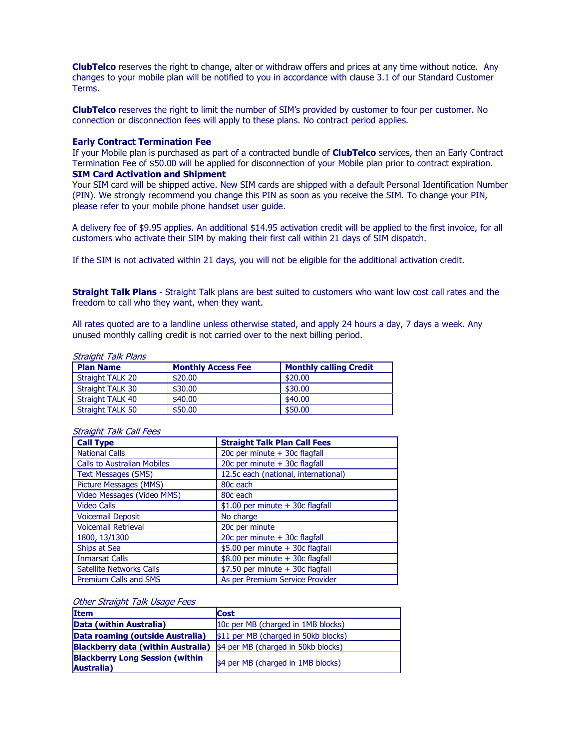ClubTelco reserves the right to change, alter or withdraw offers and prices at any time without notice. Any changes to your mobile plan will be notified to you in accordance with clause 3.1 of our Standard Customer Terms.

ClubTelco reserves the right to limit the number of SIM's provided by customer to four per customer. No connection or disconnection fees will apply to these plans. No contract period applies.

#### Early Contract Termination Fee

If your Mobile plan is purchased as part of a contracted bundle of **ClubTelco** services, then an Early Contract Termination Fee of \$50.00 will be applied for disconnection of your Mobile plan prior to contract expiration. SIM Card Activation and Shipment

Your SIM card will be shipped active. New SIM cards are shipped with a default Personal Identification Number (PIN). We strongly recommend you change this PIN as soon as you receive the SIM. To change your PIN, please refer to your mobile phone handset user guide.

A delivery fee of \$9.95 applies. An additional \$14.95 activation credit will be applied to the first invoice, for all customers who activate their SIM by making their first call within 21 days of SIM dispatch.

If the SIM is not activated within 21 days, you will not be eligible for the additional activation credit.

**Straight Talk Plans** - Straight Talk plans are best suited to customers who want low cost call rates and the freedom to call who they want, when they want.

All rates quoted are to a landline unless otherwise stated, and apply 24 hours a day, 7 days a week. Any unused monthly calling credit is not carried over to the next billing period.

| <b>Straight Talk Plans</b> |                           |                               |
|----------------------------|---------------------------|-------------------------------|
| <b>Plan Name</b>           | <b>Monthly Access Fee</b> | <b>Monthly calling Credit</b> |
| Straight TALK 20           | \$20.00                   | \$20,00                       |
| Straight TALK 30           | \$30.00                   | \$30.00                       |
| Straight TALK 40           | \$40.00                   | \$40.00                       |
| Straight TALK 50           | \$50.00                   | \$50.00                       |

| <b>Call Type</b>                   | <b>Straight Talk Plan Call Fees</b>  |  |
|------------------------------------|--------------------------------------|--|
| <b>National Calls</b>              | 20c per minute + 30c flagfall        |  |
| <b>Calls to Australian Mobiles</b> | 20c per minute + 30c flagfall        |  |
| <b>Text Messages (SMS)</b>         | 12.5c each (national, international) |  |
| <b>Picture Messages (MMS)</b>      | 80c each                             |  |
| Video Messages (Video MMS)         | 80c each                             |  |
| <b>Video Calls</b>                 | $$1.00$ per minute + 30c flagfall    |  |
| <b>Voicemail Deposit</b>           | No charge                            |  |
| <b>Voicemail Retrieval</b>         | 20c per minute                       |  |
| 1800, 13/1300                      | 20c per minute + 30c flagfall        |  |
| Ships at Sea                       | \$5.00 per minute + 30c flagfall     |  |
| <b>Inmarsat Calls</b>              | $$8.00$ per minute + 30c flagfall    |  |
| <b>Satellite Networks Calls</b>    | \$7.50 per minute + 30c flagfall     |  |
| <b>Premium Calls and SMS</b>       | As per Premium Service Provider      |  |

#### Straight Talk Call Fees

#### Other Straight Talk Usage Fees

| <b>Item</b>                                                              | <b>Cost</b>                         |  |
|--------------------------------------------------------------------------|-------------------------------------|--|
| Data (within Australia)                                                  | 10c per MB (charged in 1MB blocks)  |  |
| Data roaming (outside Australia)<br>\$11 per MB (charged in 50kb blocks) |                                     |  |
| Blackberry data (within Australia)                                       | \$4 per MB (charged in 50kb blocks) |  |
| <b>Blackberry Long Session (within</b><br>Australia)                     | \$4 per MB (charged in 1MB blocks)  |  |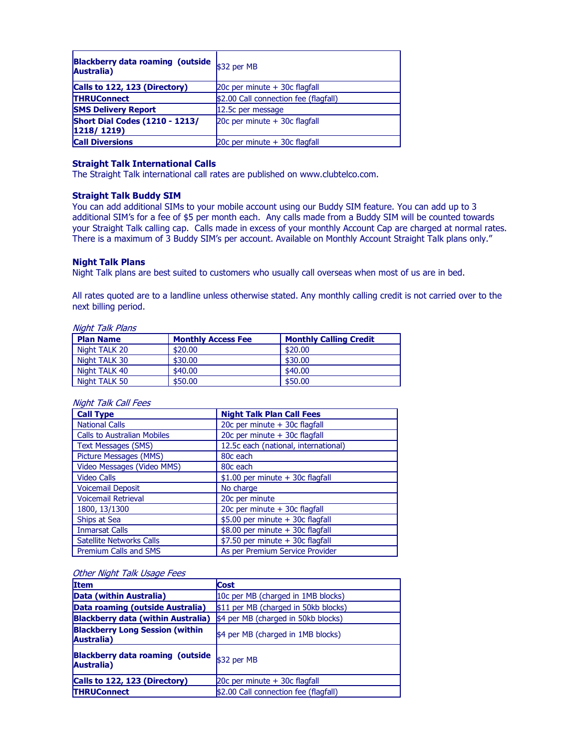| Blackberry data roaming (outside $ _{\$32\text{ per MB}}$<br>Australia) |                                       |  |
|-------------------------------------------------------------------------|---------------------------------------|--|
| Calls to 122, 123 (Directory)                                           | 20 $c$ per minute $+$ 30 $c$ flagfall |  |
| <b>THRUConnect</b>                                                      | \$2.00 Call connection fee (flagfall) |  |
| <b>SMS Delivery Report</b>                                              | 12.5c per message                     |  |
| <b>Short Dial Codes (1210 - 1213/</b><br>1218/1219)                     | 20 $c$ per minute $+$ 30 $c$ flagfall |  |
| <b>Call Diversions</b>                                                  | 20c per minute + 30c flagfall         |  |

### Straight Talk International Calls

The Straight Talk international call rates are published on www.clubtelco.com.

#### Straight Talk Buddy SIM

You can add additional SIMs to your mobile account using our Buddy SIM feature. You can add up to 3 additional SIM's for a fee of \$5 per month each. Any calls made from a Buddy SIM will be counted towards your Straight Talk calling cap. Calls made in excess of your monthly Account Cap are charged at normal rates. There is a maximum of 3 Buddy SIM's per account. Available on Monthly Account Straight Talk plans only."

### Night Talk Plans

Night Talk plans are best suited to customers who usually call overseas when most of us are in bed.

All rates quoted are to a landline unless otherwise stated. Any monthly calling credit is not carried over to the next billing period.

| Night Talk Plans |                           |                               |  |
|------------------|---------------------------|-------------------------------|--|
| <b>Plan Name</b> | <b>Monthly Access Fee</b> | <b>Monthly Calling Credit</b> |  |
| Night TALK 20    | \$20.00                   | \$20.00                       |  |
| Night TALK 30    | \$30.00                   | \$30.00                       |  |
| Night TALK 40    | \$40.00                   | \$40.00                       |  |
| Night TALK 50    | \$50.00                   | \$50.00                       |  |

### Night Talk Call Fees

| <b>Call Type</b>                   | <b>Night Talk Plan Call Fees</b>     |
|------------------------------------|--------------------------------------|
| <b>National Calls</b>              | 20c per minute + 30c flagfall        |
| <b>Calls to Australian Mobiles</b> | 20c per minute + 30c flagfall        |
| <b>Text Messages (SMS)</b>         | 12.5c each (national, international) |
| Picture Messages (MMS)             | 80c each                             |
| Video Messages (Video MMS)         | 80c each                             |
| <b>Video Calls</b>                 | $$1.00$ per minute + 30c flagfall    |
| <b>Voicemail Deposit</b>           | No charge                            |
| <b>Voicemail Retrieval</b>         | 20c per minute                       |
| 1800, 13/1300                      | 20c per minute + 30c flagfall        |
| Ships at Sea                       | \$5.00 per minute + 30c flagfall     |
| <b>Inmarsat Calls</b>              | \$8.00 per minute + 30c flagfall     |
| <b>Satellite Networks Calls</b>    | $$7.50$ per minute + 30c flagfall    |
| <b>Premium Calls and SMS</b>       | As per Premium Service Provider      |

#### Other Night Talk Usage Fees

| <b>Item</b>                                           | <b>Cost</b>                           |  |
|-------------------------------------------------------|---------------------------------------|--|
| Data (within Australia)                               | 10c per MB (charged in 1MB blocks)    |  |
| Data roaming (outside Australia)                      | \$11 per MB (charged in 50kb blocks)  |  |
| <b>Blackberry data (within Australia)</b>             | \$4 per MB (charged in 50kb blocks)   |  |
| <b>Blackberry Long Session (within)</b><br>Australia) | \$4 per MB (charged in 1MB blocks)    |  |
| Blackberry data roaming (outside<br>Australia)        | \$32 per MB                           |  |
| Calls to 122, 123 (Directory)                         | 20c per minute + 30c flagfall         |  |
| <b>THRUConnect</b>                                    | \$2.00 Call connection fee (flagfall) |  |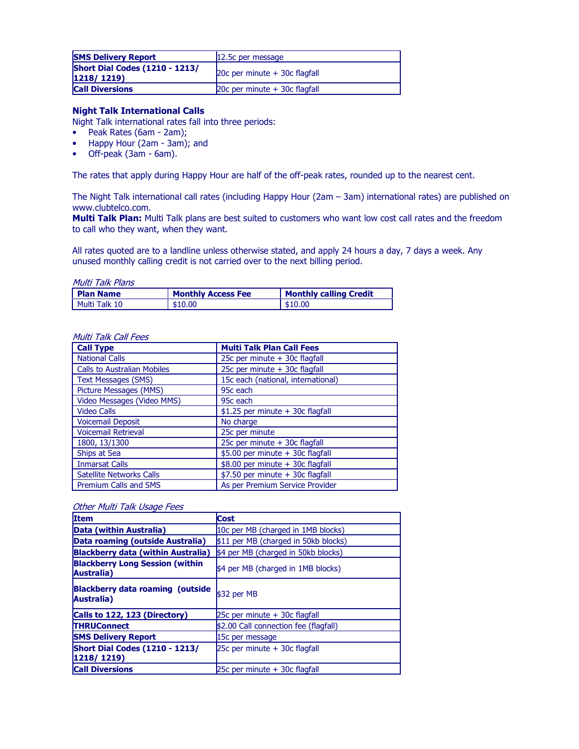| <b>SMS Delivery Report</b>                                   | 12.5c per message                     |  |
|--------------------------------------------------------------|---------------------------------------|--|
| <b>Short Dial Codes (1210 - 1213/</b><br>$ 1218/1219\rangle$ | 20 $c$ per minute $+$ 30 $c$ flagfall |  |
| <b>Call Diversions</b>                                       | 20 $c$ per minute $+$ 30 $c$ flagfall |  |

### Night Talk International Calls

- Night Talk international rates fall into three periods:
- Peak Rates (6am 2am);
- Happy Hour (2am 3am); and
- Off-peak (3am 6am).

The rates that apply during Happy Hour are half of the off-peak rates, rounded up to the nearest cent.

The Night Talk international call rates (including Happy Hour (2am – 3am) international rates) are published on www.clubtelco.com.

Multi Talk Plan: Multi Talk plans are best suited to customers who want low cost call rates and the freedom to call who they want, when they want.

All rates quoted are to a landline unless otherwise stated, and apply 24 hours a day, 7 days a week. Any unused monthly calling credit is not carried over to the next billing period.

Multi Talk Plans

| <b>I Plan Name</b> | <b>Monthly Access Fee</b> | <b>Monthly calling Credit</b> |
|--------------------|---------------------------|-------------------------------|
| l Multi Talk 10    | \$10.00                   | \$10.00                       |

#### Multi Talk Call Fees

| <b>Call Type</b>                   | <b>Multi Talk Plan Call Fees</b>   |
|------------------------------------|------------------------------------|
| <b>National Calls</b>              | 25c per minute + 30c flagfall      |
| <b>Calls to Australian Mobiles</b> | 25c per minute + 30c flagfall      |
| <b>Text Messages (SMS)</b>         | 15c each (national, international) |
| <b>Picture Messages (MMS)</b>      | 95c each                           |
| Video Messages (Video MMS)         | 95c each                           |
| <b>Video Calls</b>                 | \$1.25 per minute + 30c flagfall   |
| <b>Voicemail Deposit</b>           | No charge                          |
| <b>Voicemail Retrieval</b>         | 25c per minute                     |
| 1800, 13/1300                      | 25c per minute + 30c flagfall      |
| Ships at Sea                       | \$5.00 per minute + 30c flagfall   |
| <b>Inmarsat Calls</b>              | \$8.00 per minute + 30c flagfall   |
| <b>Satellite Networks Calls</b>    | \$7.50 per minute + 30c flagfall   |
| <b>Premium Calls and SMS</b>       | As per Premium Service Provider    |

#### Other Multi Talk Usage Fees

| <b>Item</b>                                           | <b>Cost</b>                           |  |
|-------------------------------------------------------|---------------------------------------|--|
| Data (within Australia)                               | 10c per MB (charged in 1MB blocks)    |  |
| Data roaming (outside Australia)                      | \$11 per MB (charged in 50kb blocks)  |  |
| <b>Blackberry data (within Australia)</b>             | \$4 per MB (charged in 50kb blocks)   |  |
| <b>Blackberry Long Session (within</b><br>Australia)  | \$4 per MB (charged in 1MB blocks)    |  |
| <b>Blackberry data roaming (outside</b><br>Australia) | \$32 per MB                           |  |
| Calls to 122, 123 (Directory)                         | 25c per minute + 30c flagfall         |  |
| <b>THRUConnect</b>                                    | \$2.00 Call connection fee (flagfall) |  |
| <b>SMS Delivery Report</b>                            | 15c per message                       |  |
| <b>Short Dial Codes (1210 - 1213/</b>                 | 25c per minute + 30c flagfall         |  |
| $ 1218/1219\rangle$                                   |                                       |  |
| <b>Call Diversions</b>                                | 25c per minute + 30c flagfall         |  |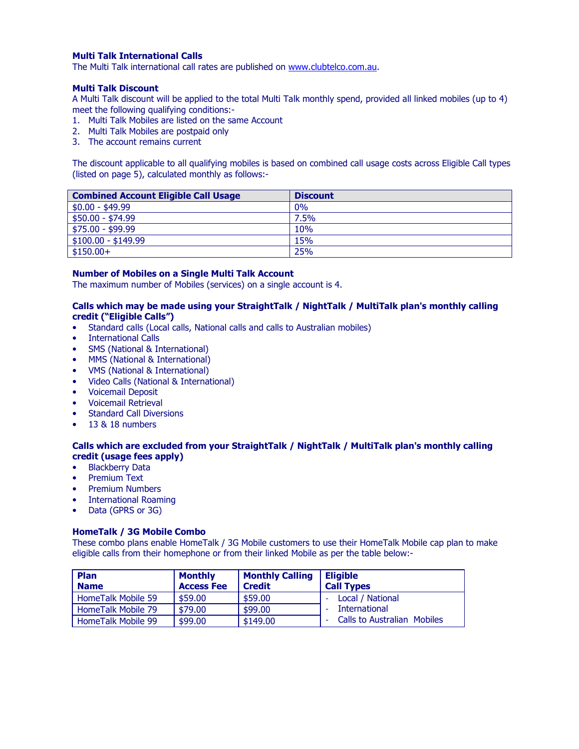### Multi Talk International Calls

The Multi Talk international call rates are published on www.clubtelco.com.au.

#### Multi Talk Discount

A Multi Talk discount will be applied to the total Multi Talk monthly spend, provided all linked mobiles (up to 4) meet the following qualifying conditions:-

- 1. Multi Talk Mobiles are listed on the same Account
- 2. Multi Talk Mobiles are postpaid only
- 3. The account remains current

The discount applicable to all qualifying mobiles is based on combined call usage costs across Eligible Call types (listed on page 5), calculated monthly as follows:-

| <b>Combined Account Eligible Call Usage</b> | <b>Discount</b> |
|---------------------------------------------|-----------------|
| $$0.00 - $49.99$                            | 0%              |
| $$50.00 - $74.99$                           | 7.5%            |
| $$75.00 - $99.99$                           | 10%             |
| $\frac{1}{2}$ \$100.00 - \$149.99           | 15%             |
| $$150.00+$                                  | 25%             |

### Number of Mobiles on a Single Multi Talk Account

The maximum number of Mobiles (services) on a single account is 4.

### Calls which may be made using your StraightTalk / NightTalk / MultiTalk plan's monthly calling credit ("Eligible Calls")

- Standard calls (Local calls, National calls and calls to Australian mobiles)
- International Calls
- SMS (National & International)
- MMS (National & International)
- VMS (National & International)
- Video Calls (National & International)
- Voicemail Deposit
- Voicemail Retrieval
- Standard Call Diversions
- 13 & 18 numbers

### Calls which are excluded from your StraightTalk / NightTalk / MultiTalk plan's monthly calling credit (usage fees apply)

- Blackberry Data
- Premium Text
- Premium Numbers
- International Roaming
- Data (GPRS or 3G)

### HomeTalk / 3G Mobile Combo

These combo plans enable HomeTalk / 3G Mobile customers to use their HomeTalk Mobile cap plan to make eligible calls from their homephone or from their linked Mobile as per the table below:-

| <b>Plan</b><br><b>Name</b> | <b>Monthly</b><br><b>Access Fee</b> | <b>Monthly Calling</b><br><b>Credit</b> | <b>Eligible</b><br><b>Call Types</b> |
|----------------------------|-------------------------------------|-----------------------------------------|--------------------------------------|
| HomeTalk Mobile 59         | \$59.00                             | \$59.00                                 | Local / National                     |
| HomeTalk Mobile 79         | \$79.00                             | \$99.00                                 | International                        |
| HomeTalk Mobile 99         | \$99.00                             | \$149.00                                | <b>Calls to Australian Mobiles</b>   |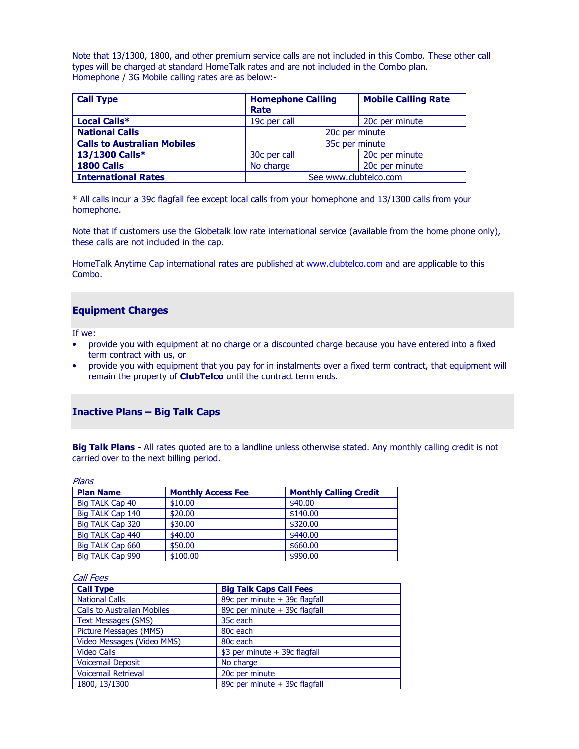Note that 13/1300, 1800, and other premium service calls are not included in this Combo. These other call types will be charged at standard HomeTalk rates and are not included in the Combo plan. Homephone / 3G Mobile calling rates are as below:-

| <b>Call Type</b>                   | <b>Homephone Calling</b><br>Rate | <b>Mobile Calling Rate</b> |
|------------------------------------|----------------------------------|----------------------------|
| Local Calls*                       | 19c per call                     | 20c per minute             |
| <b>National Calls</b>              | 20c per minute                   |                            |
| <b>Calls to Australian Mobiles</b> | 35c per minute                   |                            |
| 13/1300 Calls*                     | 30c per call                     | 20c per minute             |
| 1800 Calls                         | No charge                        | 20c per minute             |
| <b>International Rates</b>         | See www.clubtelco.com            |                            |

\* All calls incur a 39c flagfall fee except local calls from your homephone and 13/1300 calls from your homephone.

Note that if customers use the Globetalk low rate international service (available from the home phone only), these calls are not included in the cap.

HomeTalk Anytime Cap international rates are published at www.clubtelco.com and are applicable to this Combo.

### Equipment Charges

If we:

- provide you with equipment at no charge or a discounted charge because you have entered into a fixed term contract with us, or
- provide you with equipment that you pay for in instalments over a fixed term contract, that equipment will remain the property of **ClubTelco** until the contract term ends.

### Inactive Plans – Big Talk Caps

Big Talk Plans - All rates quoted are to a landline unless otherwise stated. Any monthly calling credit is not carried over to the next billing period.

| Plans            |                           |                               |
|------------------|---------------------------|-------------------------------|
| <b>Plan Name</b> | <b>Monthly Access Fee</b> | <b>Monthly Calling Credit</b> |
| Big TALK Cap 40  | \$10.00                   | \$40.00                       |
| Big TALK Cap 140 | \$20.00                   | \$140.00                      |
| Big TALK Cap 320 | \$30.00                   | \$320,00                      |
| Big TALK Cap 440 | \$40.00                   | \$440.00                      |
| Big TALK Cap 660 | \$50.00                   | \$660.00                      |
| Big TALK Cap 990 | \$100.00                  | \$990.00                      |

| <b>Call Fees</b>                   |                                |
|------------------------------------|--------------------------------|
| <b>Call Type</b>                   | <b>Big Talk Caps Call Fees</b> |
| <b>National Calls</b>              | 89c per minute + 39c flagfall  |
| <b>Calls to Australian Mobiles</b> | 89c per minute + 39c flagfall  |
| <b>Text Messages (SMS)</b>         | 35c each                       |
| Picture Messages (MMS)             | 80 <sub>c</sub> each           |
| Video Messages (Video MMS)         | 80c each                       |
| <b>Video Calls</b>                 | \$3 per minute + 39c flagfall  |
| <b>Voicemail Deposit</b>           | No charge                      |
| <b>Voicemail Retrieval</b>         | 20c per minute                 |
| 1800, 13/1300                      | 89c per minute + 39c flagfall  |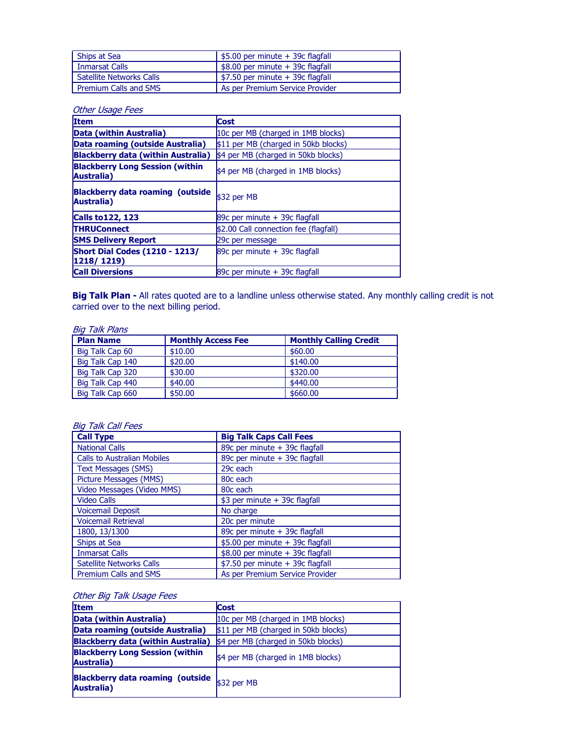| Ships at Sea                    | $$5.00$ per minute + 39c flagfall              |
|---------------------------------|------------------------------------------------|
| <b>Inmarsat Calls</b>           | $$8.00$ per minute $+$ 39c flagfall            |
| <b>Satellite Networks Calls</b> | $\frac{1}{2}$ \$7.50 per minute + 39c flagfall |
| Premium Calls and SMS           | As per Premium Service Provider                |

### Other Usage Fees

| <b>Item</b>                                                  | <b>Cost</b>                           |  |
|--------------------------------------------------------------|---------------------------------------|--|
| Data (within Australia)                                      | 10c per MB (charged in 1MB blocks)    |  |
| Data roaming (outside Australia)                             | \$11 per MB (charged in 50kb blocks)  |  |
| <b>Blackberry data (within Australia)</b>                    | \$4 per MB (charged in 50kb blocks)   |  |
| <b>Blackberry Long Session (within</b><br><b>Australia</b> ) | \$4 per MB (charged in 1MB blocks)    |  |
| <b>Blackberry data roaming (outside)</b><br>Australia)       | \$32 per MB                           |  |
| <b>Calls to 122, 123</b>                                     | 89 $c$ per minute $+$ 39 $c$ flagfall |  |
| <b>THRUConnect</b>                                           | \$2.00 Call connection fee (flagfall) |  |
| <b>SMS Delivery Report</b>                                   | 29c per message                       |  |
| <b>Short Dial Codes (1210 - 1213/</b><br>1218/1219           | 89c per minute + 39c flagfall         |  |
| <b>Call Diversions</b>                                       | 89 $c$ per minute $+$ 39 $c$ flagfall |  |

**Big Talk Plan -** All rates quoted are to a landline unless otherwise stated. Any monthly calling credit is not carried over to the next billing period.

### Big Talk Plans

| <b>Plan Name</b> | <b>Monthly Access Fee</b> | <b>Monthly Calling Credit</b> |
|------------------|---------------------------|-------------------------------|
| Big Talk Cap 60  | \$10.00                   | \$60.00                       |
| Big Talk Cap 140 | \$20.00                   | \$140.00                      |
| Big Talk Cap 320 | \$30.00                   | \$320,00                      |
| Big Talk Cap 440 | \$40.00                   | \$440.00                      |
| Big Talk Cap 660 | \$50.00                   | \$660,00                      |

### Big Talk Call Fees

| <b>Call Type</b>                   | <b>Big Talk Caps Call Fees</b>   |
|------------------------------------|----------------------------------|
| <b>National Calls</b>              | 89c per minute + 39c flagfall    |
| <b>Calls to Australian Mobiles</b> | 89c per minute + 39c flagfall    |
| <b>Text Messages (SMS)</b>         | 29c each                         |
| Picture Messages (MMS)             | 80c each                         |
| Video Messages (Video MMS)         | 80c each                         |
| <b>Video Calls</b>                 | \$3 per minute + 39c flagfall    |
| <b>Voicemail Deposit</b>           | No charge                        |
| <b>Voicemail Retrieval</b>         | 20c per minute                   |
| 1800, 13/1300                      | 89c per minute + 39c flagfall    |
| Ships at Sea                       | \$5.00 per minute + 39c flagfall |
| <b>Inmarsat Calls</b>              | \$8.00 per minute + 39c flagfall |
| <b>Satellite Networks Calls</b>    | \$7.50 per minute + 39c flagfall |
| <b>Premium Calls and SMS</b>       | As per Premium Service Provider  |

## **Other Big Talk Usage Fees**

| <b>Item</b>                                           | <b>Cost</b>                          |  |
|-------------------------------------------------------|--------------------------------------|--|
| Data (within Australia)                               | 10c per MB (charged in 1MB blocks)   |  |
| Data roaming (outside Australia)                      | \$11 per MB (charged in 50kb blocks) |  |
| Blackberry data (within Australia)                    | \$4 per MB (charged in 50kb blocks)  |  |
| <b>Blackberry Long Session (within</b><br>Australia)  | \$4 per MB (charged in 1MB blocks)   |  |
| <b>Blackberry data roaming (outside</b><br>Australia) | $$32$ per MB                         |  |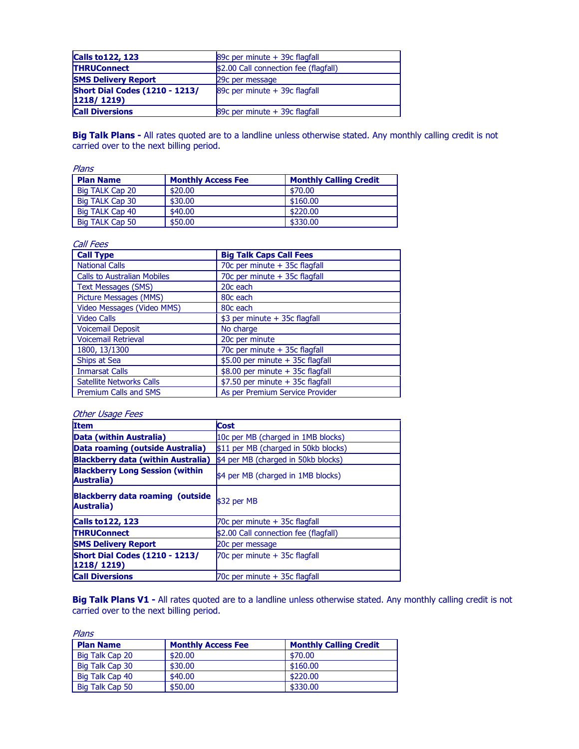| <b>Calls to 122, 123</b>              | 89c per minute + 39c flagfall         |
|---------------------------------------|---------------------------------------|
| <b>THRUConnect</b>                    | \$2.00 Call connection fee (flagfall) |
| <b>SMS Delivery Report</b>            | 29c per message                       |
| <b>Short Dial Codes (1210 - 1213/</b> | 89c per minute + 39c flagfall         |
| $ 1218/1219\rangle$                   |                                       |
| <b>Call Diversions</b>                | 89c per minute + 39c flagfall         |

Big Talk Plans - All rates quoted are to a landline unless otherwise stated. Any monthly calling credit is not carried over to the next billing period.

| Plans            |                           |                               |  |
|------------------|---------------------------|-------------------------------|--|
| <b>Plan Name</b> | <b>Monthly Access Fee</b> | <b>Monthly Calling Credit</b> |  |
| Big TALK Cap 20  | \$20.00                   | \$70.00                       |  |
| Big TALK Cap 30  | \$30.00                   | \$160.00                      |  |
| Big TALK Cap 40  | \$40.00                   | \$220.00                      |  |
| Big TALK Cap 50  | \$50.00                   | \$330.00                      |  |

| <b>Call Fees</b>                   |                                  |
|------------------------------------|----------------------------------|
| <b>Call Type</b>                   | <b>Big Talk Caps Call Fees</b>   |
| <b>National Calls</b>              | 70c per minute + 35c flagfall    |
| <b>Calls to Australian Mobiles</b> | 70c per minute + 35c flagfall    |
| <b>Text Messages (SMS)</b>         | 20c each                         |
| <b>Picture Messages (MMS)</b>      | 80c each                         |
| Video Messages (Video MMS)         | 80c each                         |
| <b>Video Calls</b>                 | \$3 per minute + 35c flagfall    |
| <b>Voicemail Deposit</b>           | No charge                        |
| <b>Voicemail Retrieval</b>         | 20c per minute                   |
| 1800, 13/1300                      | 70c per minute + 35c flagfall    |
| Ships at Sea                       | \$5.00 per minute + 35c flagfall |
| <b>Inmarsat Calls</b>              | \$8.00 per minute + 35c flagfall |
| <b>Satellite Networks Calls</b>    | \$7.50 per minute + 35c flagfall |
| Premium Calls and SMS              | As per Premium Service Provider  |

### Other Usage Fees

| <b>Item</b>                                            | <b>Cost</b>                           |  |
|--------------------------------------------------------|---------------------------------------|--|
| Data (within Australia)                                | 10c per MB (charged in 1MB blocks)    |  |
| Data roaming (outside Australia)                       | \$11 per MB (charged in 50kb blocks)  |  |
| <b>Blackberry data (within Australia)</b>              | \$4 per MB (charged in 50kb blocks)   |  |
| <b>Blackberry Long Session (within</b><br>Australia)   | \$4 per MB (charged in 1MB blocks)    |  |
| <b>Blackberry data roaming (outside)</b><br>Australia) | \$32 per MB                           |  |
| <b>Calls to 122, 123</b>                               | 70c per minute + 35c flagfall         |  |
| <b>THRUConnect</b>                                     | \$2.00 Call connection fee (flagfall) |  |
| <b>SMS Delivery Report</b>                             | 20c per message                       |  |
| <b>Short Dial Codes (1210 - 1213/</b><br>1218/1219)    | 70c per minute + 35c flagfall         |  |
| <b>Call Diversions</b>                                 | 70c per minute + 35c flagfall         |  |

Big Talk Plans V1 - All rates quoted are to a landline unless otherwise stated. Any monthly calling credit is not carried over to the next billing period.

| Plans            |                           |                               |  |
|------------------|---------------------------|-------------------------------|--|
| <b>Plan Name</b> | <b>Monthly Access Fee</b> | <b>Monthly Calling Credit</b> |  |
| Big Talk Cap 20  | \$20.00                   | \$70.00                       |  |
| Big Talk Cap 30  | \$30.00                   | \$160.00                      |  |
| Big Talk Cap 40  | \$40.00                   | \$220.00                      |  |
| Big Talk Cap 50  | \$50.00                   | \$330.00                      |  |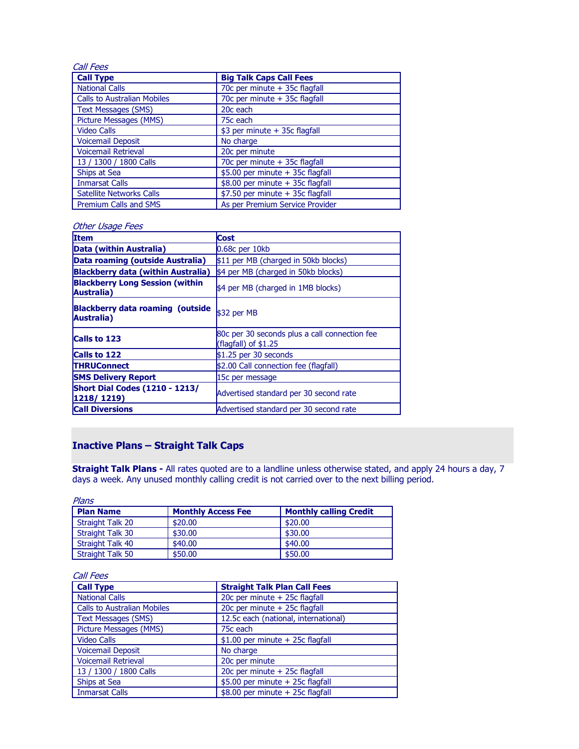| Call Fees                          |                                  |
|------------------------------------|----------------------------------|
| <b>Call Type</b>                   | <b>Big Talk Caps Call Fees</b>   |
| <b>National Calls</b>              | 70c per minute + 35c flagfall    |
| <b>Calls to Australian Mobiles</b> | 70c per minute + 35c flagfall    |
| <b>Text Messages (SMS)</b>         | 20c each                         |
| Picture Messages (MMS)             | 75c each                         |
| <b>Video Calls</b>                 | \$3 per minute + 35c flagfall    |
| <b>Voicemail Deposit</b>           | No charge                        |
| <b>Voicemail Retrieval</b>         | 20c per minute                   |
| 13 / 1300 / 1800 Calls             | 70c per minute + 35c flagfall    |
| Ships at Sea                       | \$5.00 per minute + 35c flagfall |
| <b>Inmarsat Calls</b>              | \$8.00 per minute + 35c flagfall |
| <b>Satellite Networks Calls</b>    | \$7.50 per minute + 35c flagfall |
| Premium Calls and SMS              | As per Premium Service Provider  |

### Other Usage Fees

| <b>Item</b>                                           | <b>Cost</b>                                                            |  |
|-------------------------------------------------------|------------------------------------------------------------------------|--|
| Data (within Australia)                               | 0.68c per 10kb                                                         |  |
| Data roaming (outside Australia)                      | \$11 per MB (charged in 50kb blocks)                                   |  |
| <b>Blackberry data (within Australia)</b>             | \$4 per MB (charged in 50kb blocks)                                    |  |
| <b>Blackberry Long Session (within</b><br>Australia)  | \$4 per MB (charged in 1MB blocks)                                     |  |
| <b>Blackberry data roaming (outside</b><br>Australia) | \$32 per MB                                                            |  |
| <b>Calls to 123</b>                                   | 80c per 30 seconds plus a call connection fee<br>(flagfall) of $$1.25$ |  |
| Calls to 122                                          | $$1.25$ per 30 seconds                                                 |  |
| <b>THRUConnect</b>                                    | \$2.00 Call connection fee (flagfall)                                  |  |
| <b>SMS Delivery Report</b>                            | 15c per message                                                        |  |
| <b>Short Dial Codes (1210 - 1213/</b><br>1218/1219    | Advertised standard per 30 second rate                                 |  |
| <b>Call Diversions</b>                                | Advertised standard per 30 second rate                                 |  |

## Inactive Plans – Straight Talk Caps

**Straight Talk Plans -** All rates quoted are to a landline unless otherwise stated, and apply 24 hours a day, 7 days a week. Any unused monthly calling credit is not carried over to the next billing period.

| Plans                   |                           |                               |  |
|-------------------------|---------------------------|-------------------------------|--|
| <b>Plan Name</b>        | <b>Monthly Access Fee</b> | <b>Monthly calling Credit</b> |  |
| Straight Talk 20        | \$20.00                   | \$20.00                       |  |
| Straight Talk 30        | \$30.00                   | \$30.00                       |  |
| Straight Talk 40        | \$40.00                   | \$40.00                       |  |
| <b>Straight Talk 50</b> | \$50.00                   | \$50.00                       |  |

### Call Fees

| <b>Call Type</b>                   | <b>Straight Talk Plan Call Fees</b>  |
|------------------------------------|--------------------------------------|
| <b>National Calls</b>              | 20c per minute + 25c flagfall        |
| <b>Calls to Australian Mobiles</b> | 20c per minute + 25c flagfall        |
| <b>Text Messages (SMS)</b>         | 12.5c each (national, international) |
| Picture Messages (MMS)             | 75c each                             |
| <b>Video Calls</b>                 | $$1.00$ per minute + 25c flagfall    |
| <b>Voicemail Deposit</b>           | No charge                            |
| <b>Voicemail Retrieval</b>         | 20c per minute                       |
| 13 / 1300 / 1800 Calls             | 20c per minute + 25c flagfall        |
| Ships at Sea                       | \$5.00 per minute + 25c flagfall     |
| <b>Inmarsat Calls</b>              | $$8.00$ per minute + 25c flagfall    |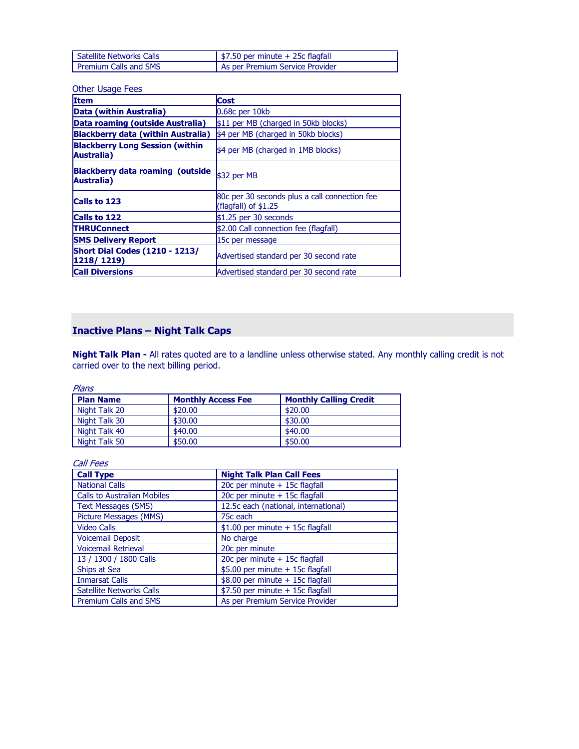| l Satellite Networks Calls | $\frac{1}{2}$ \$7.50 per minute + 25c flagfall |
|----------------------------|------------------------------------------------|
| Premium Calls and SMS      | As per Premium Service Provider                |

### Other Usage Fees

| Item                                                           | <b>Cost</b>                                                            |  |
|----------------------------------------------------------------|------------------------------------------------------------------------|--|
| Data (within Australia)                                        | 0.68c per 10kb                                                         |  |
| Data roaming (outside Australia)                               | \$11 per MB (charged in 50kb blocks)                                   |  |
| <b>Blackberry data (within Australia)</b>                      | \$4 per MB (charged in 50kb blocks)                                    |  |
| <b>Blackberry Long Session (within</b><br><b>Australia</b> )   | \$4 per MB (charged in 1MB blocks)                                     |  |
| <b>Blackberry data roaming (outside)</b><br><b>Australia</b> ) | \$32 per MB                                                            |  |
| <b>Calls to 123</b>                                            | 80c per 30 seconds plus a call connection fee<br>(flagfall) of $$1.25$ |  |
| <b>Calls to 122</b>                                            | $$1.25$ per 30 seconds                                                 |  |
| <b>THRUConnect</b>                                             | \$2.00 Call connection fee (flagfall)                                  |  |
| <b>SMS Delivery Report</b>                                     | 15c per message                                                        |  |
| <b>Short Dial Codes (1210 - 1213/</b><br>$ 1218/1219\rangle$   | Advertised standard per 30 second rate                                 |  |
| <b>Call Diversions</b>                                         | Advertised standard per 30 second rate                                 |  |

# Inactive Plans – Night Talk Caps

**Night Talk Plan -** All rates quoted are to a landline unless otherwise stated. Any monthly calling credit is not carried over to the next billing period.

Plans

| <b>Plan Name</b> | <b>Monthly Access Fee</b> | <b>Monthly Calling Credit</b> |
|------------------|---------------------------|-------------------------------|
| Night Talk 20    | \$20.00                   | \$20,00                       |
| Night Talk 30    | \$30.00                   | \$30.00                       |
| Night Talk 40    | \$40.00                   | \$40.00                       |
| Night Talk 50    | \$50.00                   | \$50.00                       |

Call Fees

| <b>Call Type</b>                   | <b>Night Talk Plan Call Fees</b>     |
|------------------------------------|--------------------------------------|
| <b>National Calls</b>              | 20c per minute + 15c flagfall        |
| <b>Calls to Australian Mobiles</b> | 20c per minute + 15c flagfall        |
| <b>Text Messages (SMS)</b>         | 12.5c each (national, international) |
| Picture Messages (MMS)             | 75c each                             |
| <b>Video Calls</b>                 | $$1.00$ per minute + 15c flagfall    |
| <b>Voicemail Deposit</b>           | No charge                            |
| <b>Voicemail Retrieval</b>         | 20c per minute                       |
| 13 / 1300 / 1800 Calls             | 20c per minute + 15c flagfall        |
| Ships at Sea                       | \$5.00 per minute + 15c flagfall     |
| <b>Inmarsat Calls</b>              | \$8.00 per minute + 15c flagfall     |
| <b>Satellite Networks Calls</b>    | $$7.50$ per minute + 15c flagfall    |
| <b>Premium Calls and SMS</b>       | As per Premium Service Provider      |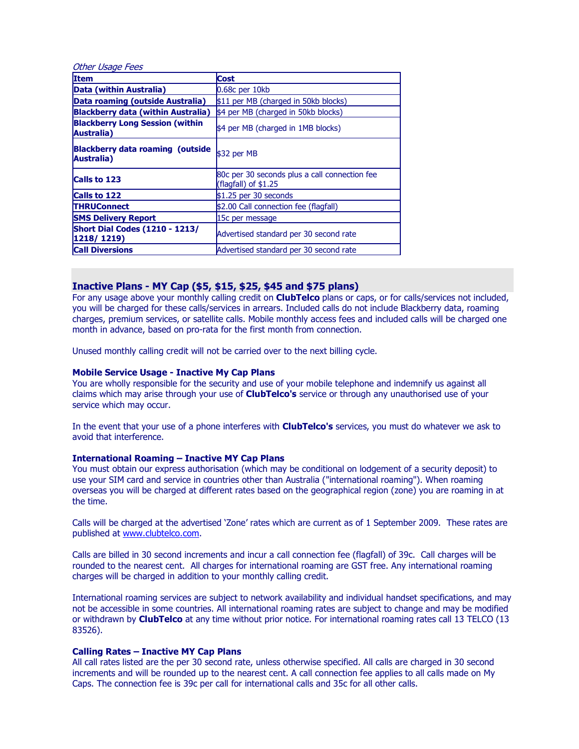| <b>Other Usage Fees</b>                               |                                                                        |  |  |
|-------------------------------------------------------|------------------------------------------------------------------------|--|--|
| <b>Item</b>                                           | <b>Cost</b>                                                            |  |  |
| Data (within Australia)                               | $0.68c$ per $10kb$                                                     |  |  |
| Data roaming (outside Australia)                      | \$11 per MB (charged in 50kb blocks)                                   |  |  |
| <b>Blackberry data (within Australia)</b>             | \$4 per MB (charged in 50kb blocks)                                    |  |  |
| <b>Blackberry Long Session (within</b><br>Australia)  | \$4 per MB (charged in 1MB blocks)                                     |  |  |
| <b>Blackberry data roaming (outside</b><br>Australia) | \$32 per MB                                                            |  |  |
| <b>Calls to 123</b>                                   | 80c per 30 seconds plus a call connection fee<br>(flagfall) of $$1.25$ |  |  |
| <b>Calls to 122</b>                                   | $$1.25$ per 30 seconds                                                 |  |  |
| <b>THRUConnect</b>                                    | \$2.00 Call connection fee (flagfall)                                  |  |  |
| <b>SMS Delivery Report</b>                            | 15c per message                                                        |  |  |
| <b>Short Dial Codes (1210 - 1213/</b><br>1218/1219)   | Advertised standard per 30 second rate                                 |  |  |
| <b>Call Diversions</b>                                | Advertised standard per 30 second rate                                 |  |  |

### Inactive Plans - MY Cap (\$5, \$15, \$25, \$45 and \$75 plans)

For any usage above your monthly calling credit on **ClubTelco** plans or caps, or for calls/services not included, you will be charged for these calls/services in arrears. Included calls do not include Blackberry data, roaming charges, premium services, or satellite calls. Mobile monthly access fees and included calls will be charged one month in advance, based on pro-rata for the first month from connection.

Unused monthly calling credit will not be carried over to the next billing cycle.

### Mobile Service Usage - Inactive My Cap Plans

You are wholly responsible for the security and use of your mobile telephone and indemnify us against all claims which may arise through your use of **ClubTelco's** service or through any unauthorised use of your service which may occur.

In the event that your use of a phone interferes with **ClubTelco's** services, you must do whatever we ask to avoid that interference.

### International Roaming – Inactive MY Cap Plans

You must obtain our express authorisation (which may be conditional on lodgement of a security deposit) to use your SIM card and service in countries other than Australia ("international roaming"). When roaming overseas you will be charged at different rates based on the geographical region (zone) you are roaming in at the time.

Calls will be charged at the advertised 'Zone' rates which are current as of 1 September 2009. These rates are published at www.clubtelco.com.

Calls are billed in 30 second increments and incur a call connection fee (flagfall) of 39c. Call charges will be rounded to the nearest cent. All charges for international roaming are GST free. Any international roaming charges will be charged in addition to your monthly calling credit.

International roaming services are subject to network availability and individual handset specifications, and may not be accessible in some countries. All international roaming rates are subject to change and may be modified or withdrawn by ClubTelco at any time without prior notice. For international roaming rates call 13 TELCO (13 83526).

#### Calling Rates – Inactive MY Cap Plans

All call rates listed are the per 30 second rate, unless otherwise specified. All calls are charged in 30 second increments and will be rounded up to the nearest cent. A call connection fee applies to all calls made on My Caps. The connection fee is 39c per call for international calls and 35c for all other calls.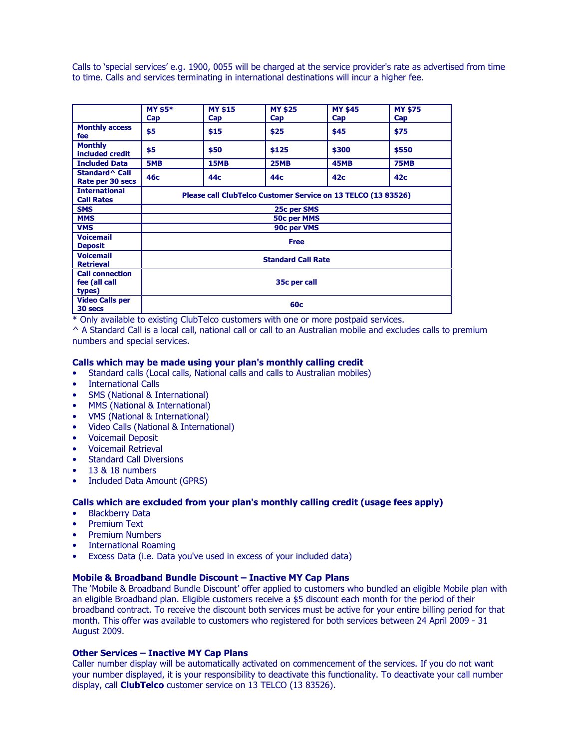Calls to 'special services' e.g. 1900, 0055 will be charged at the service provider's rate as advertised from time to time. Calls and services terminating in international destinations will incur a higher fee.

|                                                   | <b>MY \$5*</b><br>Cap                                         | <b>MY \$15</b><br>Cap | <b>MY \$25</b><br>Cap | <b>MY \$45</b><br>Cap | <b>MY \$75</b><br>Cap |
|---------------------------------------------------|---------------------------------------------------------------|-----------------------|-----------------------|-----------------------|-----------------------|
| <b>Monthly access</b><br>fee                      | \$5                                                           | \$15                  | \$25                  | \$45                  | \$75                  |
| <b>Monthly</b><br>included credit                 | \$5                                                           | \$50                  | \$125                 | \$300                 | \$550                 |
| <b>Included Data</b>                              | 5MB                                                           | <b>15MB</b>           | <b>25MB</b>           | <b>45MB</b>           | <b>75MB</b>           |
| Standard ^ Call<br>Rate per 30 secs               | 46с                                                           | 44с                   | 44c                   | 42 <sub>c</sub>       | 42 <sub>c</sub>       |
| <b>International</b><br><b>Call Rates</b>         | Please call ClubTelco Customer Service on 13 TELCO (13 83526) |                       |                       |                       |                       |
| <b>SMS</b>                                        | 25c per SMS                                                   |                       |                       |                       |                       |
| <b>MMS</b>                                        | <b>50c per MMS</b>                                            |                       |                       |                       |                       |
| <b>VMS</b>                                        | 90c per VMS                                                   |                       |                       |                       |                       |
| <b>Voicemail</b><br><b>Deposit</b>                | <b>Free</b>                                                   |                       |                       |                       |                       |
| <b>Voicemail</b><br><b>Retrieval</b>              | <b>Standard Call Rate</b>                                     |                       |                       |                       |                       |
| <b>Call connection</b><br>fee (all call<br>types) | 35c per call                                                  |                       |                       |                       |                       |
| <b>Video Calls per</b><br>30 secs                 | 60 <sub>c</sub>                                               |                       |                       |                       |                       |

\* Only available to existing ClubTelco customers with one or more postpaid services.

^ A Standard Call is a local call, national call or call to an Australian mobile and excludes calls to premium numbers and special services.

### Calls which may be made using your plan's monthly calling credit

- Standard calls (Local calls, National calls and calls to Australian mobiles)<br>• International Calls
- **International Calls**
- SMS (National & International)
- MMS (National & International)
- VMS (National & International)
- Video Calls (National & International)
- Voicemail Deposit
- Voicemail Retrieval
- Standard Call Diversions
- 13 & 18 numbers
- Included Data Amount (GPRS)

### Calls which are excluded from your plan's monthly calling credit (usage fees apply)

- Blackberry Data
- Premium Text
- Premium Numbers
- International Roaming
- Excess Data (i.e. Data you've used in excess of your included data)

### Mobile & Broadband Bundle Discount – Inactive MY Cap Plans

The 'Mobile & Broadband Bundle Discount' offer applied to customers who bundled an eligible Mobile plan with an eligible Broadband plan. Eligible customers receive a \$5 discount each month for the period of their broadband contract. To receive the discount both services must be active for your entire billing period for that month. This offer was available to customers who registered for both services between 24 April 2009 - 31 August 2009.

### Other Services – Inactive MY Cap Plans

Caller number display will be automatically activated on commencement of the services. If you do not want your number displayed, it is your responsibility to deactivate this functionality. To deactivate your call number display, call **ClubTelco** customer service on 13 TELCO (13 83526).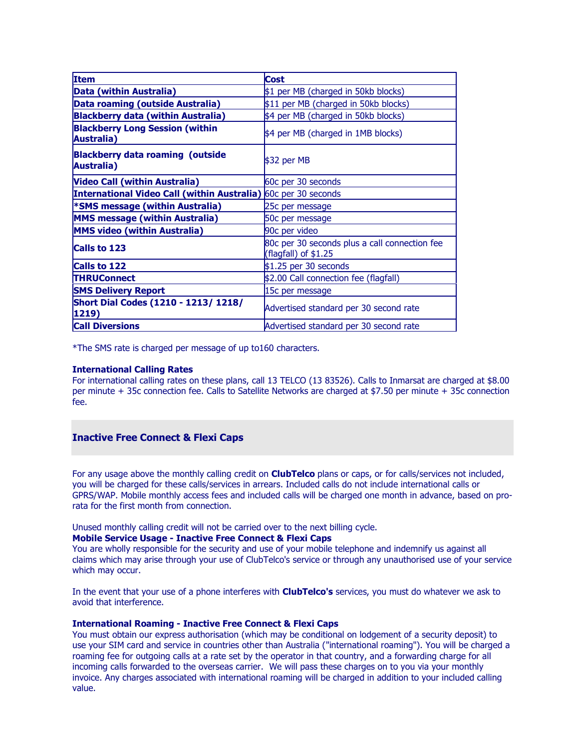| <b>Item</b>                                                           | <b>Cost</b>                                                           |  |
|-----------------------------------------------------------------------|-----------------------------------------------------------------------|--|
| Data (within Australia)                                               | \$1 per MB (charged in 50kb blocks)                                   |  |
| Data roaming (outside Australia)                                      | \$11 per MB (charged in 50kb blocks)                                  |  |
| <b>Blackberry data (within Australia)</b>                             | \$4 per MB (charged in 50kb blocks)                                   |  |
| <b>Blackberry Long Session (within</b><br><b>Australia</b> )          | \$4 per MB (charged in 1MB blocks)                                    |  |
| <b>Blackberry data roaming (outside</b><br><b>Australia</b> )         | $$32$ per MB                                                          |  |
| <b>Video Call (within Australia)</b>                                  | 60c per 30 seconds                                                    |  |
| <b>International Video Call (within Australia)</b> 60c per 30 seconds |                                                                       |  |
| <b>*SMS message (within Australia)</b>                                | 25c per message                                                       |  |
| <b>MMS message (within Australia)</b>                                 | 50c per message                                                       |  |
| <b>MMS video (within Australia)</b>                                   | 90c per video                                                         |  |
| <b>Calls to 123</b>                                                   | 80c per 30 seconds plus a call connection fee<br>(flagfall) of \$1.25 |  |
| <b>Calls to 122</b>                                                   | $$1.25$ per 30 seconds                                                |  |
| <b>THRUConnect</b>                                                    | \$2.00 Call connection fee (flagfall)                                 |  |
| <b>SMS Delivery Report</b>                                            | 15c per message                                                       |  |
| <b>Short Dial Codes (1210 - 1213/ 1218/</b><br>1219)                  | Advertised standard per 30 second rate                                |  |
| <b>Call Diversions</b>                                                | Advertised standard per 30 second rate                                |  |

\*The SMS rate is charged per message of up to160 characters.

### International Calling Rates

For international calling rates on these plans, call 13 TELCO (13 83526). Calls to Inmarsat are charged at \$8.00 per minute + 35c connection fee. Calls to Satellite Networks are charged at \$7.50 per minute + 35c connection fee.

### Inactive Free Connect & Flexi Caps

For any usage above the monthly calling credit on **ClubTelco** plans or caps, or for calls/services not included, you will be charged for these calls/services in arrears. Included calls do not include international calls or GPRS/WAP. Mobile monthly access fees and included calls will be charged one month in advance, based on prorata for the first month from connection.

Unused monthly calling credit will not be carried over to the next billing cycle.

### Mobile Service Usage - Inactive Free Connect & Flexi Caps

You are wholly responsible for the security and use of your mobile telephone and indemnify us against all claims which may arise through your use of ClubTelco's service or through any unauthorised use of your service which may occur.

In the event that your use of a phone interferes with **ClubTelco's** services, you must do whatever we ask to avoid that interference.

### International Roaming - Inactive Free Connect & Flexi Caps

You must obtain our express authorisation (which may be conditional on lodgement of a security deposit) to use your SIM card and service in countries other than Australia ("international roaming"). You will be charged a roaming fee for outgoing calls at a rate set by the operator in that country, and a forwarding charge for all incoming calls forwarded to the overseas carrier. We will pass these charges on to you via your monthly invoice. Any charges associated with international roaming will be charged in addition to your included calling value.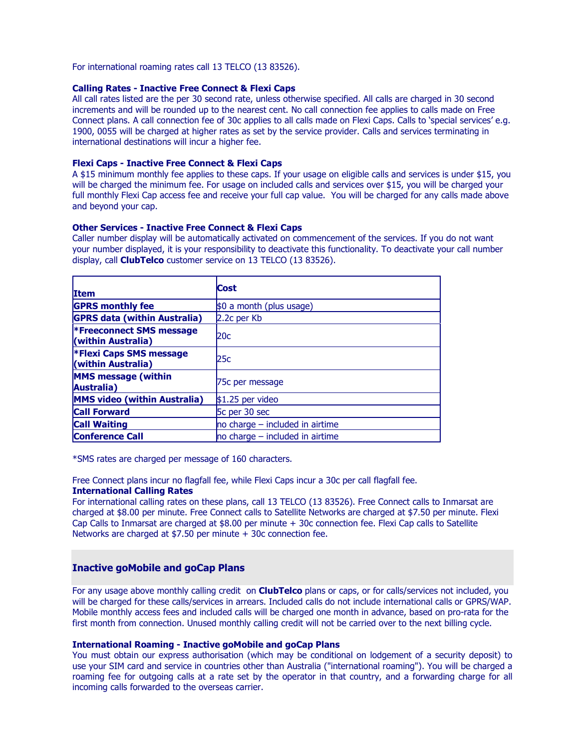For international roaming rates call 13 TELCO (13 83526).

### Calling Rates - Inactive Free Connect & Flexi Caps

All call rates listed are the per 30 second rate, unless otherwise specified. All calls are charged in 30 second increments and will be rounded up to the nearest cent. No call connection fee applies to calls made on Free Connect plans. A call connection fee of 30c applies to all calls made on Flexi Caps. Calls to 'special services' e.g. 1900, 0055 will be charged at higher rates as set by the service provider. Calls and services terminating in international destinations will incur a higher fee.

### Flexi Caps - Inactive Free Connect & Flexi Caps

A \$15 minimum monthly fee applies to these caps. If your usage on eligible calls and services is under \$15, you will be charged the minimum fee. For usage on included calls and services over \$15, you will be charged your full monthly Flexi Cap access fee and receive your full cap value. You will be charged for any calls made above and beyond your cap.

### Other Services - Inactive Free Connect & Flexi Caps

Caller number display will be automatically activated on commencement of the services. If you do not want your number displayed, it is your responsibility to deactivate this functionality. To deactivate your call number display, call **ClubTelco** customer service on 13 TELCO (13 83526).

| <b>Item</b>                                           | <b>Cost</b>                         |
|-------------------------------------------------------|-------------------------------------|
| <b>GPRS monthly fee</b>                               | \$0 a month (plus usage)            |
| <b>GPRS data (within Australia)</b>                   | 2.2c per Kb                         |
| <b>*Freeconnect SMS message</b><br>(within Australia) | 20c                                 |
| <b>*Flexi Caps SMS message</b><br>(within Australia)  | 25c                                 |
| <b>MMS</b> message (within<br>Australia)              | 75c per message                     |
| <b>MMS video (within Australia)</b>                   | $$1.25$ per video                   |
| <b>Call Forward</b>                                   | 5c per 30 sec                       |
| <b>Call Waiting</b>                                   | $no$ charge $-$ included in airtime |
| <b>Conference Call</b>                                | $\ln$ charge – included in airtime  |

\*SMS rates are charged per message of 160 characters.

Free Connect plans incur no flagfall fee, while Flexi Caps incur a 30c per call flagfall fee.

### International Calling Rates

For international calling rates on these plans, call 13 TELCO (13 83526). Free Connect calls to Inmarsat are charged at \$8.00 per minute. Free Connect calls to Satellite Networks are charged at \$7.50 per minute. Flexi Cap Calls to Inmarsat are charged at \$8.00 per minute + 30c connection fee. Flexi Cap calls to Satellite Networks are charged at \$7.50 per minute + 30c connection fee.

### Inactive goMobile and goCap Plans

For any usage above monthly calling credit on **ClubTelco** plans or caps, or for calls/services not included, you will be charged for these calls/services in arrears. Included calls do not include international calls or GPRS/WAP. Mobile monthly access fees and included calls will be charged one month in advance, based on pro-rata for the first month from connection. Unused monthly calling credit will not be carried over to the next billing cycle.

#### International Roaming - Inactive goMobile and goCap Plans

You must obtain our express authorisation (which may be conditional on lodgement of a security deposit) to use your SIM card and service in countries other than Australia ("international roaming"). You will be charged a roaming fee for outgoing calls at a rate set by the operator in that country, and a forwarding charge for all incoming calls forwarded to the overseas carrier.